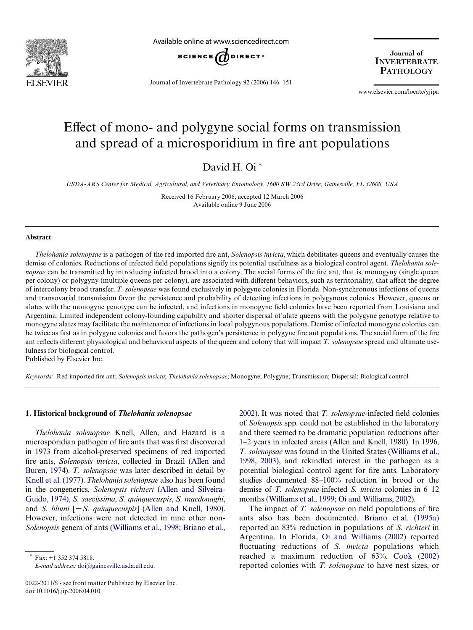

Available online at www.sciencedirect.com



Journal of Invertebrate Pathology 92 (2006) 146–151

Journal of **INVERTEBRATE PATHOLOGY** 

www.elsevier.com/locate/yjipa

# Effect of mono- and polygyne social forms on transmission and spread of a microsporidium in fire ant populations

David H. Oi<sup>\*</sup>

*USDA-ARS Center for Medical, Agricultural, and Veterinary Entomology, 1600 SW 23rd Drive, Gainesville, FL 32608, USA*

Received 16 February 2006; accepted 12 March 2006 Available online 9 June 2006

### **Abstract**

*Thelohania solenopsae* is a pathogen of the red imported fire ant, *Solenopsis invicta*, which debilitates queens and eventually causes the demise of colonies. Reductions of infected field populations signify its potential usefulness as a biological control agent. *Thelohania solenopsae* can be transmitted by introducing infected brood into a colony. The social forms of the fire ant, that is, monogyny (single queen per colony) or polygyny (multiple queens per colony), are associated with different behaviors, such as territoriality, that affect the degree of intercolony brood transfer. *T. solenopsae* was found exclusively in polygyne colonies in Florida. Non-synchronous infections of queens and transovarial transmission favor the persistence and probability of detecting infections in polygynous colonies. However, queens or alates with the monogyne genotype can be infected, and infections in monogyne field colonies have been reported from Louisiana and Argentina. Limited independent colony-founding capability and shorter dispersal of alate queens with the polygyne genotype relative to monogyne alates may facilitate the maintenance of infections in local polygynous populations. Demise of infected monogyne colonies can be twice as fast as in polygyne colonies and favors the pathogen's persistence in polygyne fire ant populations. The social form of the fire ant reflects different physiological and behavioral aspects of the queen and colony that will impact *T. solenopsae* spread and ultimate usefulness for biological control.

Published by Elsevier Inc.

Keywords: Red imported fire ant; *Solenopsis invicta*; *Thelohania solenopsae*; Monogyne; Polygyne; Transmission; Dispersal; Biological control

## **1. Historical background of** *Thelohania solenopsae*

*Thelohania solenopsae* Knell, Allen, and Hazard is a microsporidian pathogen of fire ants that was first discovered in 1973 from alcohol-preserved specimens of red imported fire ants, *Solenopsis invicta*, collected in Brazil ([Allen and](#page-4-0) [Buren, 1974\)](#page-4-0). *T. solenopsae* was later described in detail by [Knell et al. \(1977\).](#page-5-0) *Thelohania solenopsae* also has been found in the congenerics, *Solenopsis richteri* ([Allen and Silveira-](#page-4-1)[Guido, 1974](#page-4-1)), *S. saevissima*, *S. quinquecuspis*, *S. macdonaghi*, and *S. blumi*  $[=S$ *. quinquecuspis*] ([Allen and Knell, 1980](#page-4-2)). However, infections were not detected in nine other non-*Solenopsis* genera of ants ([Williams et al., 1998; Briano et al.,](#page-5-1) [2002\)](#page-5-1). It was noted that *T. solenopsae*-infected field colonies of *Solenopsis* spp. could not be established in the laboratory and there seemed to be dramatic population reductions after 1–2 years in infected areas (Allen and Knell, 1980). In 1996, *T. solenopsae* was found in the United States ([Williams et al.,](#page-5-1) [1998, 2003\)](#page-5-1), and rekindled interest in the pathogen as a potential biological control agent for fire ants. Laboratory studies documented 88–100% reduction in brood or the demise of *T. solenopsae*-infected *S. invicta* colonies in 6–12 months [\(Williams et al., 1999; Oi and Williams, 2002\)](#page-5-2).

The impact of *T. solenopsae* on field populations of fire ants also has been documented. [Briano et al. \(1995a\)](#page-4-3) reported an 83% reduction in populations of *S. richteri* in Argentina. In Florida, [Oi and Williams \(2002\)](#page-5-3) reported fluctuating reductions of *S. invicta* populations which reached a maximum reduction of 63%. [Cook \(2002\)](#page-5-4) reported colonies with *T. solenopsae* to have nest sizes, or

 $Fax: +1$  352 374 5818.  $E$ -mail address: [doi@gainesville.usda.u](mailto: doi@gainesville.usda.ufl.edu)fl[.edu](mailto: doi@gainesville.usda.ufl.edu).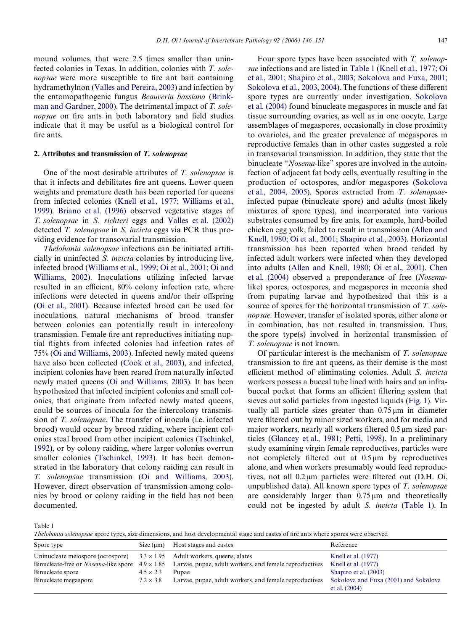mound volumes, that were 2.5 times smaller than uninfected colonies in Texas. In addition, colonies with *T. solenopsae* were more susceptible to fire ant bait containing hydramethylnon ([Valles and Pereira, 2003\)](#page-5-7) and infection by the entomopathogenic fungus *Beauveria bassiana* [\(Brink](#page-5-8)[man and Gardner, 2000\)](#page-5-8). The detrimental impact of *T. solenopsae* on fire ants in both laboratory and field studies indicate that it may be useful as a biological control for fire ants.

## **2. Attributes and transmission of** *T. solenopsae*

One of the most desirable attributes of *T. solenopsae* is that it infects and debilitates fire ant queens. Lower queen weights and premature death has been reported for queens from infected colonies [\(Knell et al., 1977; Williams et al.,](#page-5-0) [1999\)](#page-5-0). [Briano et al. \(1996\)](#page-5-9) observed vegetative stages of *T. solenopsae* in *S. richteri* eggs and [Valles et al. \(2002\)](#page-5-10) detected *T. solenopsae* in *S. invicta* eggs via PCR thus providing evidence for transovarial transmission.

*Thelohania solenopsae* infections can be initiated artificially in uninfected *S. invicta* colonies by introducing live, infected brood ([Williams et al., 1999; Oi et al., 2001; Oi and](#page-5-2) [Williams, 2002](#page-5-2)). Inoculations utilizing infected larvae resulted in an efficient, 80% colony infection rate, where infections were detected in queens and/or their offspring ([Oi et al., 2001\)](#page-5-11). Because infected brood can be used for inoculations, natural mechanisms of brood transfer between colonies can potentially result in intercolony transmission. Female fire ant reproductives initiating nuptial flights from infected colonies had infection rates of 75% ([Oi and Williams, 2003\)](#page-5-12). Infected newly mated queens have also been collected [\(Cook et al., 2003\)](#page-5-13), and infected, incipient colonies have been reared from naturally infected newly mated queens ([Oi and Williams, 2003](#page-5-12)). It has been hypothesized that infected incipient colonies and small colonies, that originate from infected newly mated queens, could be sources of inocula for the intercolony transmission of *T. solenopsae*. The transfer of inocula (i.e. infected brood) would occur by brood raiding, where incipient colonies steal brood from other incipient colonies ([Tschinkel,](#page-5-14) [1992\)](#page-5-14), or by colony raiding, where larger colonies overrun smaller colonies ([Tschinkel, 1993](#page-5-15)). It has been demonstrated in the laboratory that colony raiding can result in *T. solenopsae* transmission ([Oi and Williams, 2003](#page-5-12)). However, direct observation of transmission among colonies by brood or colony raiding in the field has not been documented.

Four spore types have been associated with *T. solenopsae* infections and are listed in [Table 1](#page-1-0) ([Knell et al., 1977; Oi](#page-5-0) [et al., 2001; Shapiro et al., 2003; Sokolova and Fuxa, 2001;](#page-5-0) [Sokolova et al., 2003, 2004](#page-5-0)). The functions of these different spore types are currently under investigation. [Sokolova](#page-5-16) [et al. \(2004\)](#page-5-16) found binucleate megaspores in muscle and fat tissue surrounding ovaries, as well as in one oocyte. Large assemblages of megaspores, occasionally in close proximity to ovarioles, and the greater prevalence of megaspores in reproductive females than in other castes suggested a role in transovarial transmission. In addition, they state that the binucleate "*Nosema*-like" spores are involved in the autoinfection of adjacent fat body cells, eventually resulting in the production of octospores, and/or megaspores [\(Sokolova](#page-5-16) [et al., 2004, 2005\)](#page-5-16). Spores extracted from *T. solenopsae*infected pupae (binucleate spore) and adults (most likely mixtures of spore types), and incorporated into various substrates consumed by fire ants, for example, hard-boiled chicken egg yolk, failed to result in transmission ([Allen and](#page-4-2) [Knell, 1980; Oi et al., 2001; Shapiro et al., 2003\)](#page-4-2). Horizontal transmission has been reported when brood tended by infected adult workers were infected when they developed into adults ([Allen and Knell, 1980; Oi et al., 2001](#page-4-2)). [Chen](#page-5-17) [et al. \(2004\)](#page-5-17) observed a preponderance of free (*Nosema*like) spores, octospores, and megaspores in meconia shed from pupating larvae and hypothesized that this is a source of spores for the horizontal transmission of *T. solenopsae*. However, transfer of isolated spores, either alone or in combination, has not resulted in transmission. Thus, the spore type(s) involved in horizontal transmission of *T. solenopsae* is not known.

Of particular interest is the mechanism of *T. solenopsae* transmission to fire ant queens, as their demise is the most efficient method of eliminating colonies. Adult *S. invicta* workers possess a buccal tube lined with hairs and an infrabuccal pocket that forms an efficient filtering system that sieves out solid particles from ingested liquids [\(Fig. 1](#page-2-0)). Virtually all particle sizes greater than  $0.75 \,\mu m$  in diameter were filtered out by minor sized workers, and for media and major workers, nearly all workers filtered 0.5 µm sized particles [\(Glancey et al., 1981; Petti, 1998\)](#page-5-18). In a preliminary study examining virgin female reproductives, particles were not completely filtered out at  $0.5 \mu m$  by reproductives alone, and when workers presumably would feed reproductives, not all  $0.2 \mu m$  particles were filtered out (D.H. Oi, unpublished data). All known spore types of *T. solenopsae* are considerably larger than  $0.75 \,\mu m$  and theoretically could not be ingested by adult *S. invicta* ([Table 1](#page-1-0)). In

<span id="page-1-0"></span>Table 1

*Thelohania solenopsae* spore types, size dimensions, and host developmental stage and castes of fire ants where spores were observed

| Spore type                        | Size (um)        | Host stages and castes                                                                                                | Reference                                                |
|-----------------------------------|------------------|-----------------------------------------------------------------------------------------------------------------------|----------------------------------------------------------|
| Uninucleate meiospore (octospore) |                  | $3.3 \times 1.95$ Adult workers, queens, alates                                                                       | Knell et al. (1977)                                      |
|                                   |                  | Binucleate-free or <i>Nosema</i> -like spore $4.9 \times 1.85$ Larvae, pupae, adult workers, and female reproductives | Knell et al. $(1977)$                                    |
| Binucleate spore                  | $4.5 \times 2.3$ | Pupae                                                                                                                 | Shapiro et al. (2003)                                    |
| Binucleate megaspore              | $7.2 \times 3.8$ | Larvae, pupae, adult workers, and female reproductives                                                                | Sokolova and Fuxa (2001) and Sokolova<br>et al. $(2004)$ |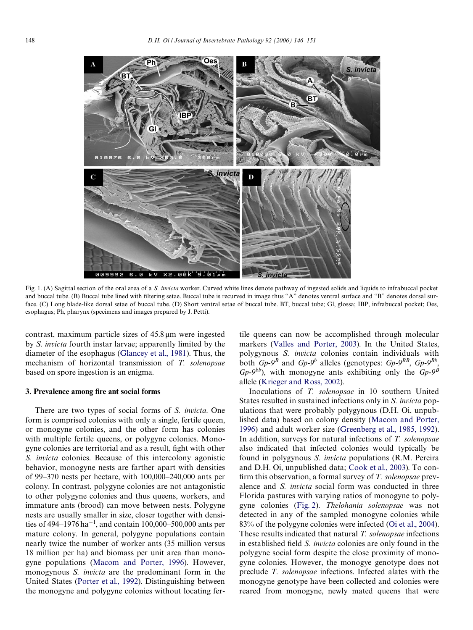

<span id="page-2-0"></span>Fig. 1. (A) Sagittal section of the oral area of a *S. invicta* worker. Curved white lines denote pathway of ingested solids and liquids to infrabuccal pocket and buccal tube. (B) Buccal tube lined with filtering setae. Buccal tube is recurved in image thus "A" denotes ventral surface and "B" denotes dorsal surface. (C) Long blade-like dorsal setae of buccal tube. (D) Short ventral setae of buccal tube. BT, buccal tube; Gl, glossa; IBP, infrabuccal pocket; Oes, esophagus; Ph, pharynx (specimens and images prepared by J. Petti).

contrast, maximum particle sizes of  $45.8 \,\mu m$  were ingested by *S. invicta* fourth instar larvae; apparently limited by the diameter of the esophagus [\(Glancey et al., 1981\)](#page-5-18). Thus, the mechanism of horizontal transmission of *T. solenopsae* based on spore ingestion is an enigma.

## **3. Prevalence among fire ant social forms**

There are two types of social forms of *S. invicta*. One form is comprised colonies with only a single, fertile queen, or monogyne colonies, and the other form has colonies with multiple fertile queens, or polygyne colonies. Monogyne colonies are territorial and as a result, fight with other *S. invicta* colonies. Because of this intercolony agonistic behavior, monogyne nests are farther apart with densities of 99–370 nests per hectare, with 100,000–240,000 ants per colony. In contrast, polygyne colonies are not antagonistic to other polygyne colonies and thus queens, workers, and immature ants (brood) can move between nests. Polygyne nests are usually smaller in size, closer together with densities of 494–1976 ha<sup>-1</sup>, and contain 100,000–500,000 ants per mature colony. In general, polygyne populations contain nearly twice the number of worker ants (35 million versus 18 million per ha) and biomass per unit area than monogyne populations ([Macom and Porter, 1996\)](#page-5-19). However, monogynous *S. invicta* are the predominant form in the United States ([Porter et al., 1992\)](#page-5-20). Distinguishing between the monogyne and polygyne colonies without locating fertile queens can now be accomplished through molecular markers ([Valles and Porter, 2003\)](#page-5-21). In the United States, polygynous *S. invicta* colonies contain individuals with both  $G_p$ -9<sup>*B*</sup> and  $G_p$ -9<sup>*b*</sup> alleles (genotypes:  $G_p$ -9<sup>*BB*</sup>,  $G_p$ -9<sup>*Bb*</sup>, *Gp-9<sup>bb</sup>*), with monogyne ants exhibiting only the *Gp-9<sup>B</sup>* allele ([Krieger and Ross, 2002](#page-5-22)).

Inoculations of *T. solenopsae* in 10 southern United States resulted in sustained infections only in *S. invicta* populations that were probably polygynous (D.H. Oi, unpublished data) based on colony density [\(Macom and Porter,](#page-5-19) [1996](#page-5-19)) and adult worker size [\(Greenberg et al., 1985, 1992](#page-5-23)). In addition, surveys for natural infections of *T. solenopsae* also indicated that infected colonies would typically be found in polygynous *S. invicta* populations (R.M. Pereira and D.H. Oi, unpublished data; [Cook et al., 2003\)](#page-5-13). To confirm this observation, a formal survey of *T. solenopsae* prevalence and *S. invicta* social form was conducted in three Florida pastures with varying ratios of monogyne to polygyne colonies ([Fig. 2\)](#page-3-0). *Thelohania solenopsae* was not detected in any of the sampled monogyne colonies while 83% of the polygyne colonies were infected ([Oi et al., 2004](#page-5-24)). These results indicated that natural *T. solenopsae* infections in established field *S. invicta* colonies are only found in the polygyne social form despite the close proximity of monogyne colonies. However, the monogye genotype does not preclude *T. solenopsae* infections. Infected alates with the monogyne genotype have been collected and colonies were reared from monogyne, newly mated queens that were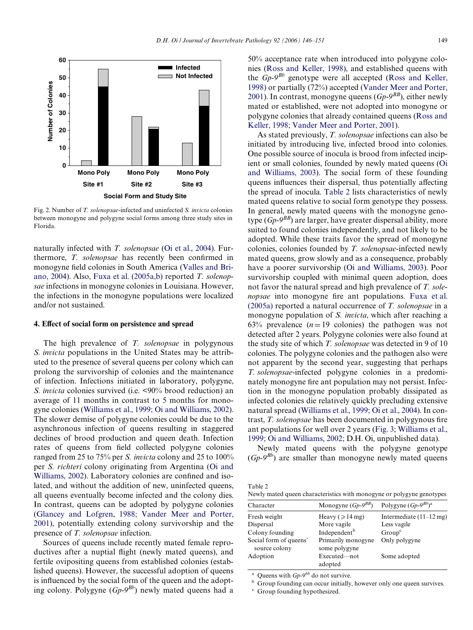

<span id="page-3-0"></span>Fig. 2. Number of *T. solenopsae*-infected and uninfected *S. invicta* colonies between monogyne and polygyne social forms among three study sites in Florida.

naturally infected with *T. solenopsae* ([Oi et al., 2004\)](#page-5-24). Furthermore, *T. solenopsae* has recently been confirmed in monogyne field colonies in South America ([Valles and Bri](#page-5-25)[ano, 2004\)](#page-5-25). Also, [Fuxa et al. \(2005a,b\)](#page-5-26) reported *T. solenopsae* infections in monogyne colonies in Louisiana. However, the infections in the monogyne populations were localized and/or not sustained.

#### **4. EVect of social form on persistence and spread**

The high prevalence of *T. solenopsae* in polygynous *S. invicta* populations in the United States may be attributed to the presence of several queens per colony which can prolong the survivorship of colonies and the maintenance of infection. Infections initiated in laboratory, polygyne, *S. invicta* colonies survived (i.e. <90% brood reduction) an average of 11 months in contrast to 5 months for monogyne colonies [\(Williams et al., 1999; Oi and Williams, 2002\)](#page-5-2). The slower demise of polygyne colonies could be due to the asynchronous infection of queens resulting in staggered declines of brood production and queen death. Infection rates of queens from field collected polygyne colonies ranged from 25 to 75% per *S. invicta* colony and 25 to 100% per *S. richteri* colony originating from Argentina ([Oi and](#page-5-3) [Williams, 2002\)](#page-5-3). Laboratory colonies are confined and isolated, and without the addition of new, uninfected queens, all queens eventually become infected and the colony dies. In contrast, queens can be adopted by polygyne colonies ([Glancey and Lofgren, 1988; Vander Meer and Porter,](#page-5-27) [2001\)](#page-5-27), potentially extending colony survivorship and the presence of *T. solenopsae* infection.

Sources of queens include recently mated female reproductives after a nuptial flight (newly mated queens), and fertile ovipositing queens from established colonies (established queens). However, the successful adoption of queens is influenced by the social form of the queen and the adopting colony. Polygyne (*Gp-9Bb*) newly mated queens had a

50% acceptance rate when introduced into polygyne colonies ([Ross and Keller, 1998](#page-5-28)), and established queens with the *Gp-9Bb* genotype were all accepted [\(Ross and Keller,](#page-5-28) [1998](#page-5-28)) or partially (72%) accepted [\(Vander Meer and Porter,](#page-5-29) [2001](#page-5-29)). In contrast, monogyne queens (*Gp-9BB*), either newly mated or established, were not adopted into monogyne or polygyne colonies that already contained queens ([Ross and](#page-5-28) [Keller, 1998; Vander Meer and Porter, 2001](#page-5-28)).

As stated previously, *T. solenopsae* infections can also be initiated by introducing live, infected brood into colonies. One possible source of inocula is brood from infected incipient or small colonies, founded by newly mated queens [\(Oi](#page-5-12) [and Williams, 2003\)](#page-5-12). The social form of these founding queens influences their dispersal, thus potentially affecting the spread of inocula. [Table 2](#page-3-1) lists characteristics of newly mated queens relative to social form genotype they possess. In general, newly mated queens with the monogyne genotype  $(G_p - 9^{BB})$  are larger, have greater dispersal ability, more suited to found colonies independently, and not likely to be adopted. While these traits favor the spread of monogyne colonies, colonies founded by *T. solenopsae*-infected newly mated queens, grow slowly and as a consequence, probably have a poorer survivorship [\(Oi and Williams, 2003\)](#page-5-12). Poor survivorship coupled with minimal queen adoption, does not favor the natural spread and high prevalence of *T. solenopsae* into monogyne fire ant populations. [Fuxa et al.](#page-5-26) [\(2005a\)](#page-5-26) reported a natural occurrence of *T. solenopsae* in a monogyne population of *S. invicta*, which after reaching a 63% prevalence  $(n=19)$  colonies) the pathogen was not detected after 2 years. Polygyne colonies were also found at the study site of which *T. solenopsae* was detected in 9 of 10 colonies. The polygyne colonies and the pathogen also were not apparent by the second year, suggesting that perhaps *T. solenopsae*-infected polygyne colonies in a predominately monogyne fire ant population may not persist. Infection in the monogyne population probably dissipated as infected colonies die relatively quickly precluding extensive natural spread ([Williams et al., 1999; Oi et al., 2004](#page-5-2)). In contrast, *T. solenopsae* has been documented in polygynous fire ant populations for well over 2 years [\(Fig. 3;](#page-4-4) [Williams et al.,](#page-5-2) [1999; Oi and Williams, 2002](#page-5-2); D.H. Oi, unpublished data).

Newly mated queens with the polygyne genotype  $(G_p - 9^{Bb})$  are smaller than monogyne newly mated queens

<span id="page-3-1"></span>

| i anle |  |
|--------|--|
|--------|--|

Newly mated queen characteristics with monogyne or polygyne genotypes

| Character              | Monogyne $(Gp-9^{BB})$     | Polygyne $(Gp-9^{Bb})^a$          |
|------------------------|----------------------------|-----------------------------------|
| Fresh weight           | Heavy ( $\geqslant$ 14 mg) | Intermediate $(11-12 \text{ mg})$ |
| Dispersal              | More vagile                | Less vagile                       |
| Colony founding        | Independent <sup>b</sup>   | Group <sup>c</sup>                |
| Social form of queens' | Primarily monogyne         | Only polygyne                     |
| source colony          | some polygyne              |                                   |
| Adoption               | Executed-not<br>adopted    | Some adopted                      |

Queens with *Gp-9<sup>bb</sup>* do not survive.

**b** Group founding can occur initially, however only one queen survives.

<sup>c</sup> Group founding hypothesized.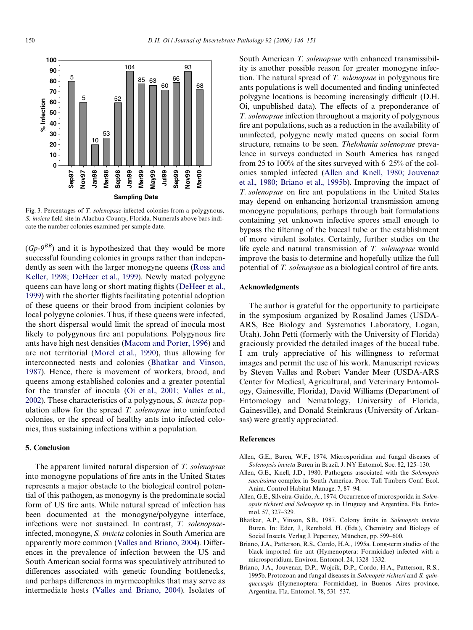

<span id="page-4-4"></span>Fig. 3. Percentages of *T. solenopsae*-infected colonies from a polygynous, *S. invicta* field site in Alachua County, Florida. Numerals above bars indicate the number colonies examined per sample date.

 $(Gp-9<sup>BB</sup>)$  and it is hypothesized that they would be more successful founding colonies in groups rather than independently as seen with the larger monogyne queens [\(Ross and](#page-5-28) [Keller, 1998; DeHeer et al., 1999](#page-5-28)). Newly mated polygyne queens can have long or short mating flights [\(DeHeer et al.,](#page-5-30) [1999\)](#page-5-30) with the shorter flights facilitating potential adoption of these queens or their brood from incipient colonies by local polygyne colonies. Thus, if these queens were infected, the short dispersal would limit the spread of inocula most likely to polygynous fire ant populations. Polygynous fire ants have high nest densities [\(Macom and Porter, 1996\)](#page-5-19) and are not territorial [\(Morel et al., 1990](#page-5-31)), thus allowing for interconnected nests and colonies ([Bhatkar and Vinson,](#page-4-5) [1987\)](#page-4-5). Hence, there is movement of workers, brood, and queens among established colonies and a greater potential for the transfer of inocula ([Oi et al., 2001; Valles et al.,](#page-5-11) [2002\)](#page-5-11). These characteristics of a polygynous, *S. invicta* population allow for the spread *T. solenopsae* into uninfected colonies, or the spread of healthy ants into infected colonies, thus sustaining infections within a population.

## **5. Conclusion**

The apparent limited natural dispersion of *T. solenopsae* into monogyne populations of fire ants in the United States represents a major obstacle to the biological control potential of this pathogen, as monogyny is the predominate social form of US fire ants. While natural spread of infection has been documented at the monogyne/polygyne interface, infections were not sustained. In contrast, *T. solenopsae*infected, monogyne, *S. invicta* colonies in South America are apparently more common [\(Valles and Briano, 2004\)](#page-5-25). Differences in the prevalence of infection between the US and South American social forms was speculatively attributed to differences associated with genetic founding bottlenecks, and perhaps differences in myrmecophiles that may serve as intermediate hosts ([Valles and Briano, 2004](#page-5-25)). Isolates of South American *T. solenopsae* with enhanced transmissibility is another possible reason for greater monogyne infection. The natural spread of *T. solenopsae* in polygynous fire ants populations is well documented and finding uninfected polygyne locations is becoming increasingly difficult (D.H. Oi, unpublished data). The effects of a preponderance of *T. solenopsae* infection throughout a majority of polygynous fire ant populations, such as a reduction in the availability of uninfected, polygyne newly mated queens on social form structure, remains to be seen. *Thelohania solenopsae* prevalence in surveys conducted in South America has ranged from 25 to 100% of the sites surveyed with 6–25% of the colonies sampled infected [\(Allen and Knell, 1980; Jouvenaz](#page-4-2) [et al., 1980; Briano et al., 1995b\)](#page-4-2). Improving the impact of *T. solenopsae* on fire ant populations in the United States may depend on enhancing horizontal transmission among monogyne populations, perhaps through bait formulations containing yet unknown infective spores small enough to bypass the filtering of the buccal tube or the establishment of more virulent isolates. Certainly, further studies on the life cycle and natural transmission of *T. solenopsae* would improve the basis to determine and hopefully utilize the full potential of *T. solenopsae* as a biological control of fire ants.

## **Acknowledgments**

The author is grateful for the opportunity to participate in the symposium organized by Rosalind James (USDA-ARS, Bee Biology and Systematics Laboratory, Logan, Utah). John Petti (formerly with the University of Florida) graciously provided the detailed images of the buccal tube. I am truly appreciative of his willingness to reformat images and permit the use of his work. Manuscript reviews by Steven Valles and Robert Vander Meer (USDA-ARS Center for Medical, Agricultural, and Veterinary Entomology, Gainesville, Florida), David Williams (Department of Entomology and Nematology, University of Florida, Gainesville), and Donald Steinkraus (University of Arkansas) were greatly appreciated.

## **References**

- <span id="page-4-0"></span>Allen, G.E., Buren, W.F., 1974. Microsporidian and fungal diseases of *Solenopsis invicta* Buren in Brazil. J. NY Entomol. Soc. 82, 125–130.
- <span id="page-4-2"></span>Allen, G.E., Knell, J.D., 1980. Pathogens associated with the *Solenopsis saevissima* complex in South America. Proc. Tall Timbers Conf. Ecol. Anim. Control Habitat Manage. 7, 87–94.
- <span id="page-4-1"></span>Allen, G.E., Silveira-Guido, A., 1974. Occurrence of microsporida in *Solenopsis richteri and Solenopsis* sp. in Uruguay and Argentina. Fla. Entomol. 57, 327–329.
- <span id="page-4-5"></span>Bhatkar, A.P., Vinson, S.B., 1987. Colony limits in *Solenopsis invicta* Buren. In: Eder, J., Rembold, H. (Eds.), Chemistry and Biology of Social Insects. Verlag J. Peperney, München, pp. 599–600.
- <span id="page-4-3"></span>Briano, J.A., Patterson, R.S., Cordo, H.A., 1995a. Long-term studies of the black imported fire ant (Hymenoptera: Formicidae) infected with a microsporidium. Environ. Entomol. 24, 1328–1332.
- Briano, J.A., Jouvenaz, D.P., Wojcik, D.P., Cordo, H.A., Patterson, R.S., 1995b. Protozoan and fungal diseases in *Solenopsis richteri* and *S. quinquecuspis* (Hymenoptera: Formicidae), in Buenos Aires province, Argentina. Fla. Entomol. 78, 531–537.